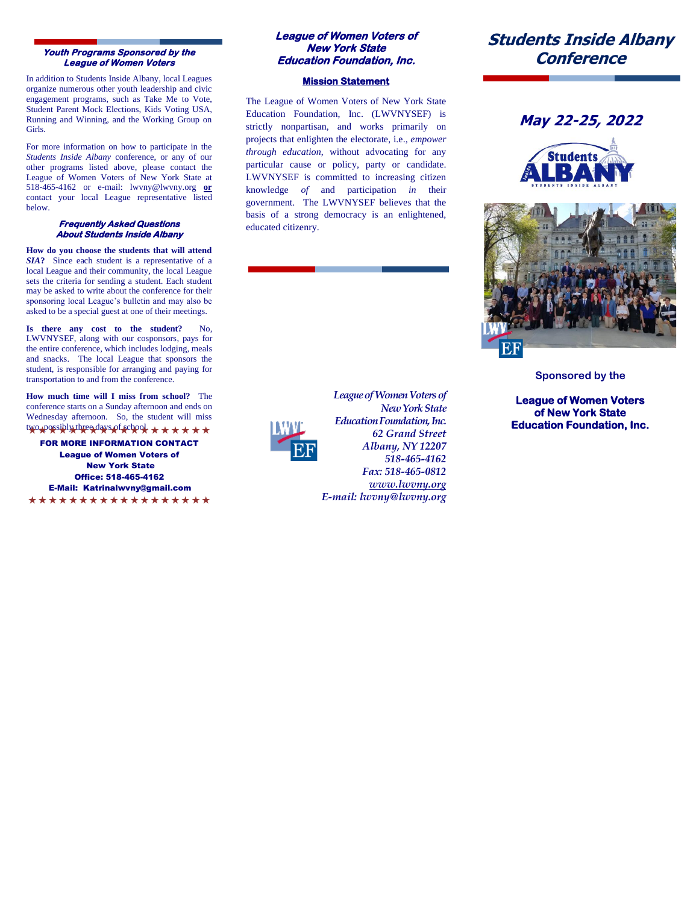### **Youth Programs Sponsored by the League of Women Voters**

 In addition to Students Inside Albany, local Leagues organize numerous other youth leadership and civic engagement programs, such as Take Me to Vote, Student Parent Mock Elections, Kids Voting USA, Running and Winning, and the Working Group on Girls.

For more information on how to participate in the *Students Inside Albany* conference, or any of our other programs listed above, please contact the League of Women Voters of New York State at 518-465-4162 or e-mail: lwvny@lwvny.org **or** contact your local League representative listed below.

### **Frequently Asked Questions About Students Inside Albany**

**How do you choose the students that will attend**  *SIA***?** Since each student is a representative of a local League and their community, the local League sets the criteria for sending a student. Each student may be asked to write about the conference for their sponsoring local League's bulletin and may also be asked to be a special guest at one of their meetings.

Is there any cost to the student? LWVNYSEF, along with our cosponsors, pays for the entire conference, which includes lodging, meals and snacks. The local League that sponsors the student, is responsible for arranging and paying for transportation to and from the conference.

**How much time will I miss from school?** The conference starts on a Sunday afternoon and ends on Wednesday afternoon. So, the student will miss two, possibly three days of school. ★ ★ ★ ★ ★ ★

FOR MORE INFORMATION CONTACT League of Women Voters of New York State Office: 518-465-4162 E-Mail: Katrinalwvny@gmail.com

\*\*\*\*\*\*\*\*\*\*\*\*\*\*\*\*\*\*

### **League of Women Voters of New York State Education Foundation, Inc.**

### **Mission Statement**

The League of Women Voters of New York State Education Foundation, Inc. (LWVNYSEF) is strictly nonpartisan, and works primarily on projects that enlighten the electorate, i.e., *empower through education*, without advocating for any particular cause or policy, party or candidate. LWVNYSEF is committed to increasing citizen knowledge *of* and participation *in* their government. The LWVNYSEF believes that the basis of a strong democracy is an enlightened, educated citizenry.



*New York State Education Foundation, Inc. 62 Grand Street Albany, NY 12207 518-465-4162 Fax: 518-465-0812 www.lwvny.org E-mail: lwvny@lwvny.org*

*League of Women Voters of* 

# **Students Inside Albany Conference**







**Sponsored by the**

**League of Women Voters of New York State Education Foundation, Inc.**